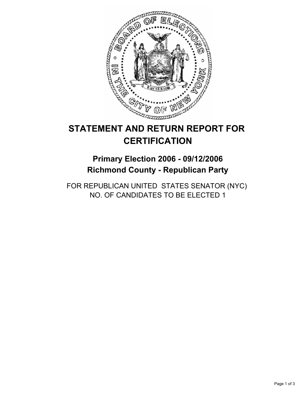

# **STATEMENT AND RETURN REPORT FOR CERTIFICATION**

## **Primary Election 2006 - 09/12/2006 Richmond County - Republican Party**

FOR REPUBLICAN UNITED STATES SENATOR (NYC) NO. OF CANDIDATES TO BE ELECTED 1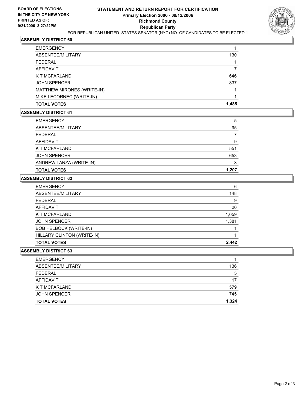

#### **ASSEMBLY DISTRICT 60**

| <b>EMERGENCY</b>           |       |
|----------------------------|-------|
| ABSENTEE/MILITARY          | 130   |
| <b>FEDERAL</b>             |       |
| AFFIDAVIT                  |       |
| K T MCFARLAND              | 646   |
| <b>JOHN SPENCER</b>        | 837   |
| MATTHEW MIRONES (WRITE-IN) |       |
| MIKE LECORNEC (WRITE-IN)   |       |
| <b>TOTAL VOTES</b>         | 1,485 |

## **ASSEMBLY DISTRICT 61**

| 5     |
|-------|
| 95    |
|       |
| 9     |
| 551   |
| 653   |
| າ     |
| 1,207 |
|       |

## **ASSEMBLY DISTRICT 62**

| <b>EMERGENCY</b>              | 6     |
|-------------------------------|-------|
| ABSENTEE/MILITARY             | 148   |
| <b>FEDERAL</b>                | 9     |
| <b>AFFIDAVIT</b>              | 20    |
| K T MCFARLAND                 | 1,059 |
| <b>JOHN SPENCER</b>           | 1,381 |
| <b>BOB HELBOCK (WRITE-IN)</b> |       |
| HILLARY CLINTON (WRITE-IN)    |       |
| <b>TOTAL VOTES</b>            | 2.442 |

#### **ASSEMBLY DISTRICT 63**

| 136   |
|-------|
| 5     |
| 17    |
| 579   |
| 745   |
| 1,324 |
|       |